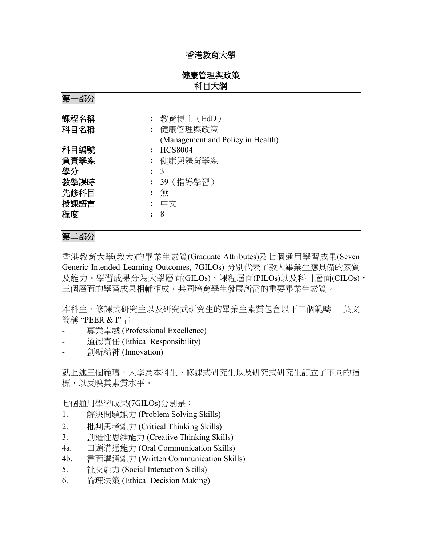# 香港教育大學

# 健康管理與政策 科目大綱

第一部分

| 課程名稱 | 教育博士 (EdD)                        |
|------|-----------------------------------|
| 科目名稱 | 健康管理與政策                           |
|      | (Management and Policy in Health) |
| 科目編號 | <b>HCS8004</b>                    |
| 負責學系 | 健康與體育學系                           |
| 學分   | $\colon$ 3                        |
| 教學課時 | 39 (指導學習)                         |
| 先修科目 | 無                                 |
| 授課語言 | 中文                                |
| 程度   | 8                                 |
|      |                                   |

# 第二部分

香港教育大學(教大)的畢業生素質(Graduate Attributes)及七個通用學習成果(Seven Generic Intended Learning Outcomes, 7GILOs) 分別代表了教大畢業生應具備的素質 及能力。學習成果分為大學層面(GILOs)、課程層面(PILOs)以及科目層面(CILOs), 三個層面的學習成果相輔相成,共同培育學生發展所需的重要畢業生素質。

本科生、修課式研究生以及研究式研究生的畢業生素質包含以下三個範疇 「英文 簡稱"PEER & I"」

- 專業卓越 (Professional Excellence)
- 道德責任 (Ethical Responsibility)
- 創新精神 (Innovation)

就上述三個範疇,大學為本科生、修課式研究生以及研究式研究生訂立了不同的指 標,以反映其素質水平。

七個通用學習成果(7GILOs)分別是:

- 1. 解決問題能力 (Problem Solving Skills)
- 2. 批判思考能力 (Critical Thinking Skills)
- 3. 創造性思維能力 (Creative Thinking Skills)
- 4a. 口頭溝通能力 (Oral Communication Skills)
- 4b. 書面溝通能力 (Written Communication Skills)
- 5. 社交能力 (Social Interaction Skills)
- 6. 倫理決策 (Ethical Decision Making)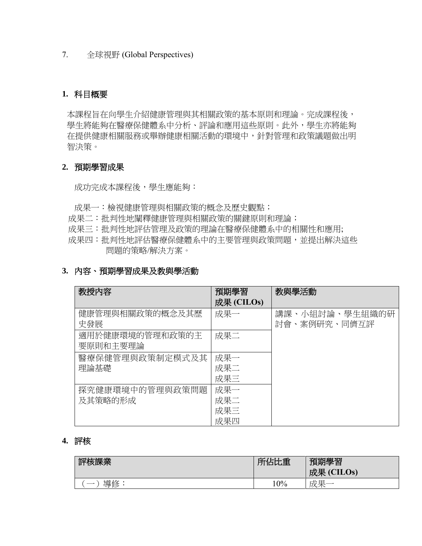7. 全球視野 (Global Perspectives)

## **1.** 科目概要

本課程旨在向學生介紹健康管理與其相關政策的基本原則和理論。完成課程後, 學生將能夠在醫療保健體系中分析、評論和應用這些原則。此外,學生亦將能夠 在提供健康相關服務或舉辦健康相關活動的環境中,針對管理和政策議題做出明 智決策。

## **2.** 預期學習成果

成功完成本課程後,學生應能夠:

- 成果一:檢視健康管理與相關政策的概念及歷史觀點;
- 成果二:批判性地闡釋健康管理與相關政策的關鍵原則和理論;
- 成果三:批判性地評估管理及政策的理論在醫療保健體系中的相關性和應用;
- 成果四:批判性地評估醫療保健體系中的主要管理與政策問題,並提出解決這些 問題的策略/解決方案。

#### **3.** 內容、預期學習成果及教與學活動

| 教授内容            | 預期學習       | 教與學活動          |
|-----------------|------------|----------------|
|                 | 成果 (CILOs) |                |
| 健康管理與相關政策的概念及其歷 | 成果一        | 講課、小組討論、學生組織的研 |
| 史發展             |            | 討會、案例研究、同儕互評   |
| 適用於健康環境的管理和政策的主 | 成果二        |                |
| 要原則和主要理論        |            |                |
| 醫療保健管理與政策制定模式及其 | 成果一        |                |
| 理論基礎            | 成果二        |                |
|                 | 成果三        |                |
| 探究健康環境中的管理與政策問題 | 成果一        |                |
| 及其策略的形成         | 成果二        |                |
|                 | 成果三        |                |
|                 | 成果四        |                |

# **4.** 評核

| 该課業<br>Ξ. | 佔比重<br><b>Thea</b> | 預期學習<br>成果<br>(CHLOS) |
|-----------|--------------------|-----------------------|
| 道体        | $10\%$             | 一个一<br>ΗV<br><b>H</b> |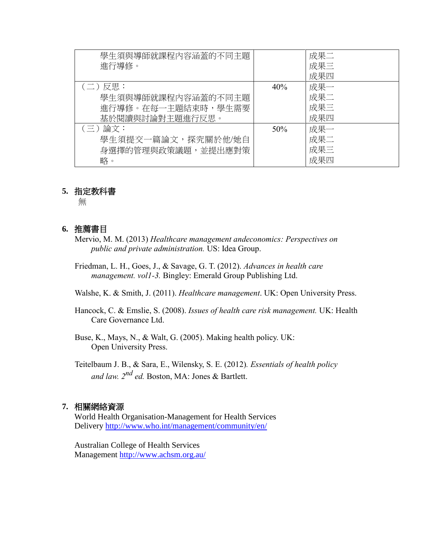| 學生須與導師就課程內容涵蓋的不同主題 |     | 成果二 |
|--------------------|-----|-----|
| 進行導修。              |     | 成果三 |
|                    |     | 成果四 |
| (二)反思:             | 40% | 成果一 |
| 學生須與導師就課程內容涵蓋的不同主題 |     | 成果二 |
| 進行導修。在每一主題結束時,學生需要 |     | 成果三 |
| 基於閱讀與討論對主題進行反思。    |     | 成果四 |
| (三)論文:             | 50% | 成果一 |
| 學生須提交一篇論文,探究關於他/她自 |     | 成果二 |
| 身選擇的管理與政策議題,並提出應對策 |     | 成果三 |
| 略。                 |     | 成果四 |

## **5.** 指定教科書

無

## **6.** 推薦書目

- Mervio, M. M. (2013) *Healthcare management andeconomics: Perspectives on public and private administration.* US: Idea Group.
- Friedman, L. H., Goes, J., & Savage, G. T. (2012). *Advances in health care management. vol1-3.* Bingley: Emerald Group Publishing Ltd.

[Walshe, K](http://www.bookworld.com.au/by/kieran-walshe/). & [Smith, J](http://www.bookworld.com.au/by/judith-smith/). (2011). *Healthcare management*. UK: Open University Press.

Hancock, C. & [Emslie, S](http://www.bookworld.com.au/by/stuart-emslie/). (2008). *Issues of health care risk management.* UK: Health Care Governance Ltd.

Buse, K., Mays, N., & Walt, G. (2005). Making health policy. UK: Open University Press.

Teitelbaum J. B., & Sara, E., Wilensky, S. E. (2012)*. Essentials of health policy and law. 2nd ed.* Boston, MA: Jones & Bartlett.

#### **7.** 相關網絡資源

World Health Organisation-Management for Health Services Delivery<http://www.who.int/management/community/en/>

Australian College of Health Services Management<http://www.achsm.org.au/>